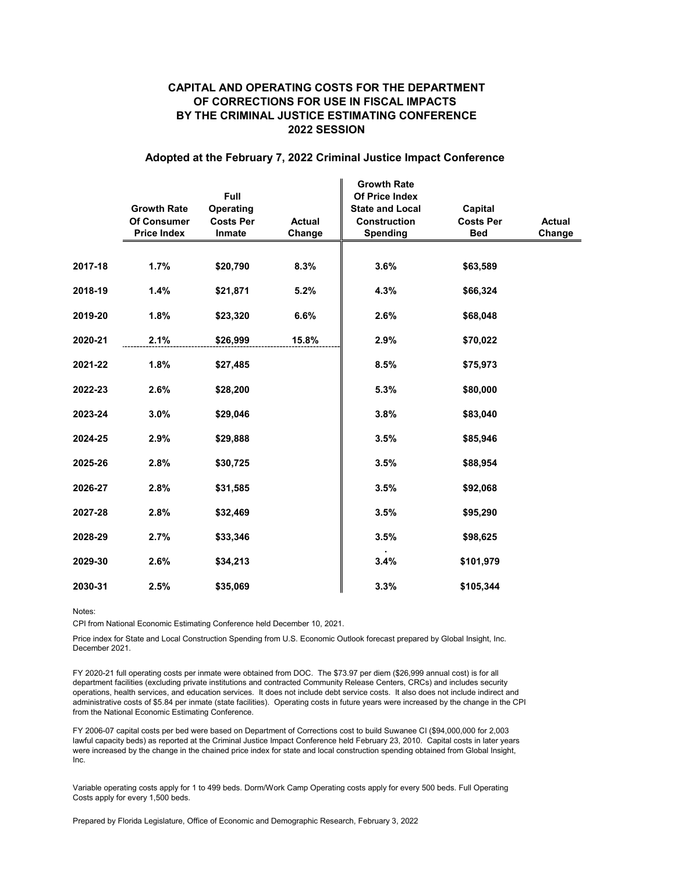## CAPITAL AND OPERATING COSTS FOR THE DEPARTMENT OF CORRECTIONS FOR USE IN FISCAL IMPACTS BY THE CRIMINAL JUSTICE ESTIMATING CONFERENCE 2022 SESSION

## Adopted at the February 7, 2022 Criminal Justice Impact Conference

|         |                    |                  |               | <b>Growth Rate</b>     |                  |        |
|---------|--------------------|------------------|---------------|------------------------|------------------|--------|
|         |                    | <b>Full</b>      |               | Of Price Index         |                  |        |
|         | <b>Growth Rate</b> | Operating        |               | <b>State and Local</b> | Capital          |        |
|         | <b>Of Consumer</b> | <b>Costs Per</b> | <b>Actual</b> | <b>Construction</b>    | <b>Costs Per</b> | Actual |
|         | <b>Price Index</b> | Inmate           | Change        | <b>Spending</b>        | <b>Bed</b>       | Change |
|         |                    |                  |               |                        |                  |        |
| 2017-18 | 1.7%               | \$20,790         | 8.3%          | 3.6%                   | \$63,589         |        |
| 2018-19 | 1.4%               | \$21,871         | 5.2%          | 4.3%                   | \$66,324         |        |
| 2019-20 | 1.8%               | \$23,320         | 6.6%          | 2.6%                   | \$68,048         |        |
| 2020-21 | 2.1%               | \$26,999         | 15.8%         | 2.9%                   | \$70,022         |        |
| 2021-22 | 1.8%               | \$27,485         |               | 8.5%                   | \$75,973         |        |
| 2022-23 | 2.6%               | \$28,200         |               | 5.3%                   | \$80,000         |        |
| 2023-24 | 3.0%               | \$29,046         |               | 3.8%                   | \$83,040         |        |
| 2024-25 | 2.9%               | \$29,888         |               | 3.5%                   | \$85,946         |        |
| 2025-26 | 2.8%               | \$30,725         |               | 3.5%                   | \$88,954         |        |
| 2026-27 | 2.8%               | \$31,585         |               | 3.5%                   | \$92,068         |        |
| 2027-28 | 2.8%               | \$32,469         |               | 3.5%                   | \$95,290         |        |
| 2028-29 | 2.7%               | \$33,346         |               | 3.5%                   | \$98,625         |        |
| 2029-30 | 2.6%               | \$34,213         |               | 3.4%                   | \$101,979        |        |
| 2030-31 | 2.5%               | \$35,069         |               | 3.3%                   | \$105,344        |        |

Notes:

CPI from National Economic Estimating Conference held December 10, 2021.

Price index for State and Local Construction Spending from U.S. Economic Outlook forecast prepared by Global Insight, Inc. December 2021.

FY 2020-21 full operating costs per inmate were obtained from DOC. The \$73.97 per diem (\$26,999 annual cost) is for all department facilities (excluding private institutions and contracted Community Release Centers, CRCs) and includes security operations, health services, and education services. It does not include debt service costs. It also does not include indirect and administrative costs of \$5.84 per inmate (state facilities). Operating costs in future years were increased by the change in the CPI from the National Economic Estimating Conference.

FY 2006-07 capital costs per bed were based on Department of Corrections cost to build Suwanee CI (\$94,000,000 for 2,003 lawful capacity beds) as reported at the Criminal Justice Impact Conference held February 23, 2010. Capital costs in later years were increased by the change in the chained price index for state and local construction spending obtained from Global Insight, Inc.

Variable operating costs apply for 1 to 499 beds. Dorm/Work Camp Operating costs apply for every 500 beds. Full Operating Costs apply for every 1,500 beds.